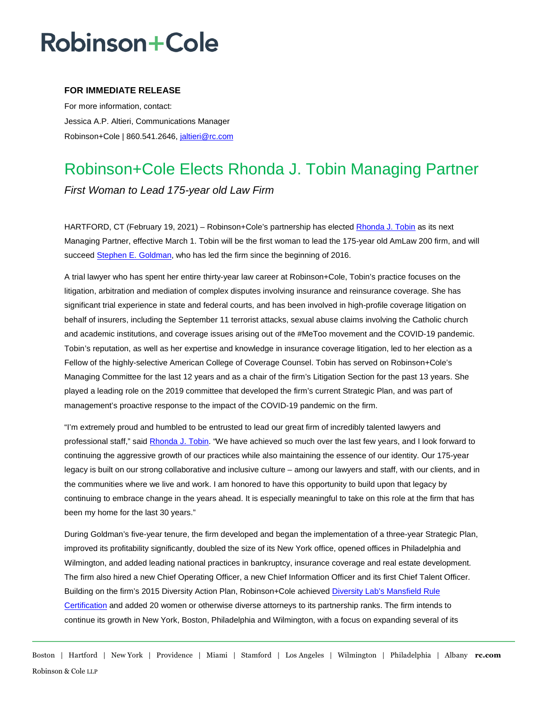# Robinson+Cole

### **FOR IMMEDIATE RELEASE**

For more information, contact: Jessica A.P. Altieri, Communications Manager Robinson+Cole | 860.541.2646, jaltieri@rc.com

### Robinson+Cole Elects Rhonda J. Tobin Managing Partner *First Woman to Lead 175-year old Law Firm*

HARTFORD, CT (February 19, 2021) – Robinson+Cole's partnership has elected [Rhonda J. Tobin](http://www.rc.com/people/RhondaJTobin.cfm) as its next Managing Partner, effective March 1. Tobin will be the first woman to lead the 175-year old AmLaw 200 firm, and will succeed [Stephen E. Goldman,](http://www.rc.com/people/StephenEGoldman.cfm) who has led the firm since the beginning of 2016.

A trial lawyer who has spent her entire thirty-year law career at Robinson+Cole, Tobin's practice focuses on the litigation, arbitration and mediation of complex disputes involving insurance and reinsurance coverage. She has significant trial experience in state and federal courts, and has been involved in high-profile coverage litigation on behalf of insurers, including the September 11 terrorist attacks, sexual abuse claims involving the Catholic church and academic institutions, and coverage issues arising out of the #MeToo movement and the COVID-19 pandemic. Tobin's reputation, as well as her expertise and knowledge in insurance coverage litigation, led to her election as a Fellow of the highly-selective American College of Coverage Counsel. Tobin has served on Robinson+Cole's Managing Committee for the last 12 years and as a chair of the firm's Litigation Section for the past 13 years. She played a leading role on the 2019 committee that developed the firm's current Strategic Plan, and was part of management's proactive response to the impact of the COVID-19 pandemic on the firm.

"I'm extremely proud and humbled to be entrusted to lead our great firm of incredibly talented lawyers and professional staff," said [Rhonda J. Tobin.](http://www.rc.com/people/RhondaJTobin.cfm) "We have achieved so much over the last few years, and I look forward to continuing the aggressive growth of our practices while also maintaining the essence of our identity. Our 175-year legacy is built on our strong collaborative and inclusive culture – among our lawyers and staff, with our clients, and in the communities where we live and work. I am honored to have this opportunity to build upon that legacy by continuing to embrace change in the years ahead. It is especially meaningful to take on this role at the firm that has been my home for the last 30 years."

During Goldman's five-year tenure, the firm developed and began the implementation of a three-year Strategic Plan, improved its profitability significantly, doubled the size of its New York office, opened offices in Philadelphia and Wilmington, and added leading national practices in bankruptcy, insurance coverage and real estate development. The firm also hired a new Chief Operating Officer, a new Chief Information Officer and its first Chief Talent Officer. Building on the firm's 2015 Diversity Action Plan, Robinson+Cole achieved [Diversity Lab's Mansfield Rule](http://www.rc.com/upload/Press-Release_Mansfield-3-0-Certification_9-15-20.pdf)  [Certification](http://www.rc.com/upload/Press-Release_Mansfield-3-0-Certification_9-15-20.pdf) and added 20 women or otherwise diverse attorneys to its partnership ranks. The firm intends to continue its growth in New York, Boston, Philadelphia and Wilmington, with a focus on expanding several of its

Boston | Hartford | New York | Providence | Miami | Stamford | Los Angeles | Wilmington | Philadelphia | Albany **rc.com** Robinson & Cole LLP